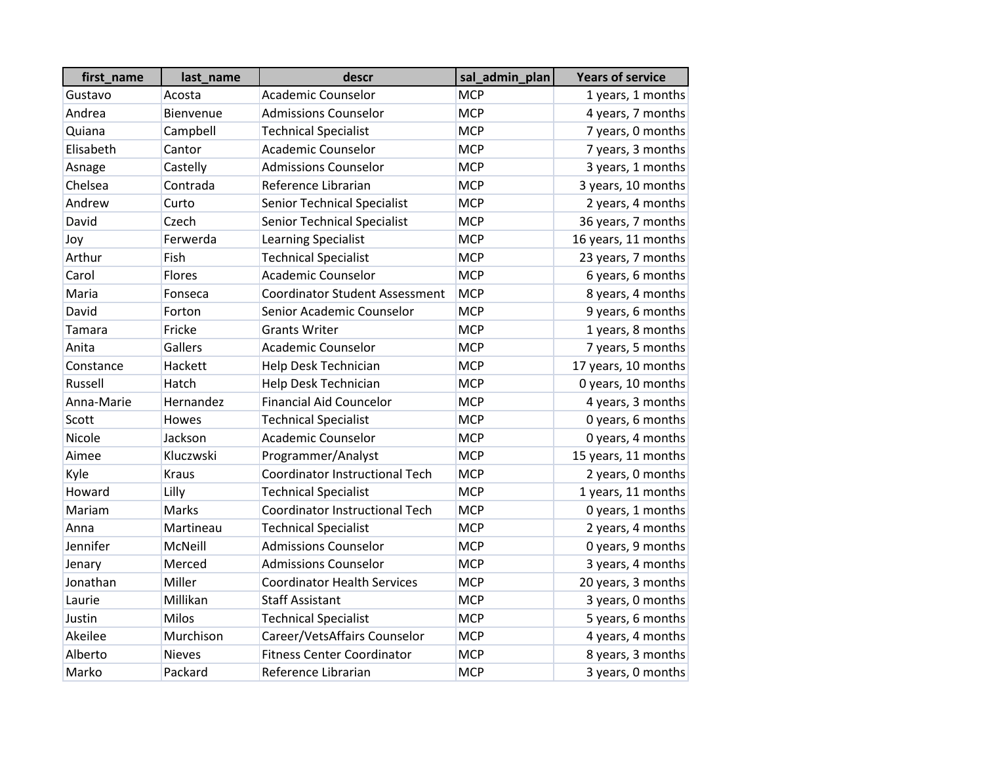| first_name | last_name        | descr                                 | sal_admin_plan | <b>Years of service</b> |
|------------|------------------|---------------------------------------|----------------|-------------------------|
| Gustavo    | Acosta           | <b>Academic Counselor</b>             | <b>MCP</b>     | 1 years, 1 months       |
| Andrea     | <b>Bienvenue</b> | <b>Admissions Counselor</b>           | <b>MCP</b>     | 4 years, 7 months       |
| Quiana     | Campbell         | <b>Technical Specialist</b>           | <b>MCP</b>     | 7 years, 0 months       |
| Elisabeth  | Cantor           | Academic Counselor                    | <b>MCP</b>     | 7 years, 3 months       |
| Asnage     | Castelly         | <b>Admissions Counselor</b>           | <b>MCP</b>     | 3 years, 1 months       |
| Chelsea    | Contrada         | Reference Librarian                   | <b>MCP</b>     | 3 years, 10 months      |
| Andrew     | Curto            | <b>Senior Technical Specialist</b>    | <b>MCP</b>     | 2 years, 4 months       |
| David      | Czech            | <b>Senior Technical Specialist</b>    | <b>MCP</b>     | 36 years, 7 months      |
| Joy        | Ferwerda         | <b>Learning Specialist</b>            | <b>MCP</b>     | 16 years, 11 months     |
| Arthur     | Fish             | <b>Technical Specialist</b>           | <b>MCP</b>     | 23 years, 7 months      |
| Carol      | Flores           | <b>Academic Counselor</b>             | <b>MCP</b>     | 6 years, 6 months       |
| Maria      | Fonseca          | <b>Coordinator Student Assessment</b> | <b>MCP</b>     | 8 years, 4 months       |
| David      | Forton           | Senior Academic Counselor             | <b>MCP</b>     | 9 years, 6 months       |
| Tamara     | Fricke           | <b>Grants Writer</b>                  | <b>MCP</b>     | 1 years, 8 months       |
| Anita      | Gallers          | <b>Academic Counselor</b>             | <b>MCP</b>     | 7 years, 5 months       |
| Constance  | Hackett          | Help Desk Technician                  | <b>MCP</b>     | 17 years, 10 months     |
| Russell    | Hatch            | Help Desk Technician                  | <b>MCP</b>     | 0 years, 10 months      |
| Anna-Marie | Hernandez        | <b>Financial Aid Councelor</b>        | <b>MCP</b>     | 4 years, 3 months       |
| Scott      | Howes            | <b>Technical Specialist</b>           | <b>MCP</b>     | 0 years, 6 months       |
| Nicole     | Jackson          | <b>Academic Counselor</b>             | <b>MCP</b>     | 0 years, 4 months       |
| Aimee      | Kluczwski        | Programmer/Analyst                    | <b>MCP</b>     | 15 years, 11 months     |
| Kyle       | <b>Kraus</b>     | <b>Coordinator Instructional Tech</b> | <b>MCP</b>     | 2 years, 0 months       |
| Howard     | Lilly            | <b>Technical Specialist</b>           | <b>MCP</b>     | 1 years, 11 months      |
| Mariam     | Marks            | <b>Coordinator Instructional Tech</b> | <b>MCP</b>     | 0 years, 1 months       |
| Anna       | Martineau        | <b>Technical Specialist</b>           | <b>MCP</b>     | 2 years, 4 months       |
| Jennifer   | McNeill          | <b>Admissions Counselor</b>           | <b>MCP</b>     | 0 years, 9 months       |
| Jenary     | Merced           | <b>Admissions Counselor</b>           | <b>MCP</b>     | 3 years, 4 months       |
| Jonathan   | Miller           | <b>Coordinator Health Services</b>    | <b>MCP</b>     | 20 years, 3 months      |
| Laurie     | Millikan         | <b>Staff Assistant</b>                | <b>MCP</b>     | 3 years, 0 months       |
| Justin     | <b>Milos</b>     | <b>Technical Specialist</b>           | <b>MCP</b>     | 5 years, 6 months       |
| Akeilee    | Murchison        | Career/VetsAffairs Counselor          | <b>MCP</b>     | 4 years, 4 months       |
| Alberto    | <b>Nieves</b>    | <b>Fitness Center Coordinator</b>     | <b>MCP</b>     | 8 years, 3 months       |
| Marko      | Packard          | Reference Librarian                   | <b>MCP</b>     | 3 years, 0 months       |